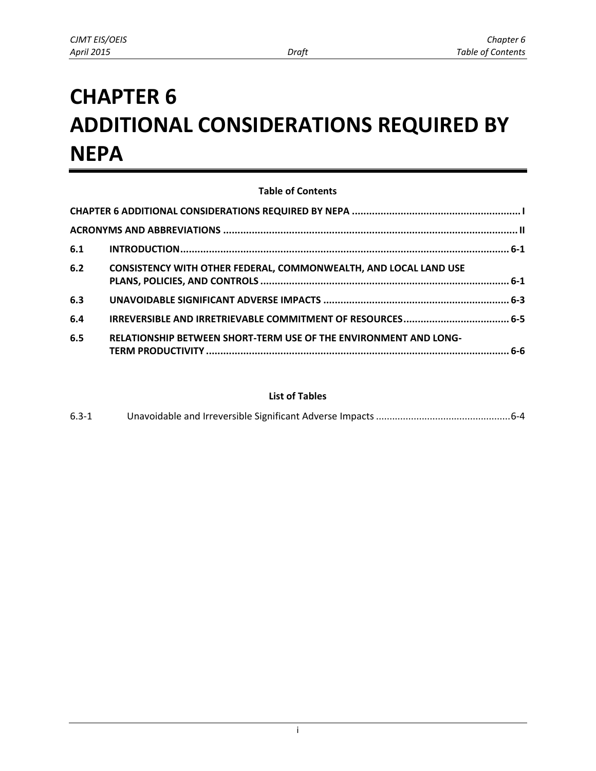# <span id="page-0-0"></span>**CHAPTER 6 ADDITIONAL CONSIDERATIONS REQUIRED BY NEPA**

#### **Table of Contents [CHAPTER 6 ADDITIONAL CONSIDERATIONS REQUIRED BY NEPA ........................................................... I](#page-0-0) [ACRONYMS AND ABBREVIATIONS .......................................................................................................](#page-1-0) II 6.1 [INTRODUCTION ................................................................................................................... 6-1](#page-2-0) 6.2 [CONSISTENCY WITH OTHER FEDERAL, COMMONWEALTH, AND LOCAL LAND USE](#page-2-1)  [PLANS, POLICIES, AND CONTROLS ....................................................................................... 6-1](#page-2-1) 6.3 [UNAVOIDABLE SIGNIFICANT ADVERSE IMPACTS ................................................................. 6-3](#page-4-0) 6.4 [IRREVERSIBLE AND IRRETRIEVABLE COMMITMENT OF RESOURCES ..................................... 6-5](#page-6-0) 6.5 [RELATIONSHIP BETWEEN SHORT-TERM USE OF THE ENVIRONMENT AND LONG-](#page-7-0)[TERM PRODUCTIVITY .......................................................................................................... 6-6](#page-7-0)**

#### **List of Tables**

| $6.3 - 1$ |  |  |
|-----------|--|--|
|-----------|--|--|

i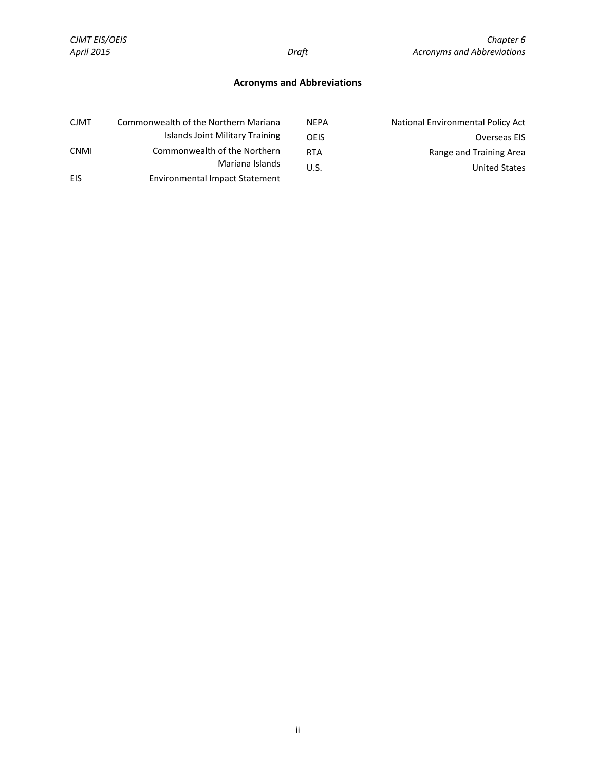#### **Acronyms and Abbreviations**

<span id="page-1-0"></span>

| <b>CJMT</b> | Commonwealth of the Northern Mariana  | <b>NEPA</b> | National Environmental Policy Act |
|-------------|---------------------------------------|-------------|-----------------------------------|
|             | Islands Joint Military Training       | OFIS        | Overseas EIS                      |
| <b>CNMI</b> | Commonwealth of the Northern          | <b>RTA</b>  | Range and Training Area           |
|             | Mariana Islands                       | U.S.        | <b>United States</b>              |
| EIS         | <b>Environmental Impact Statement</b> |             |                                   |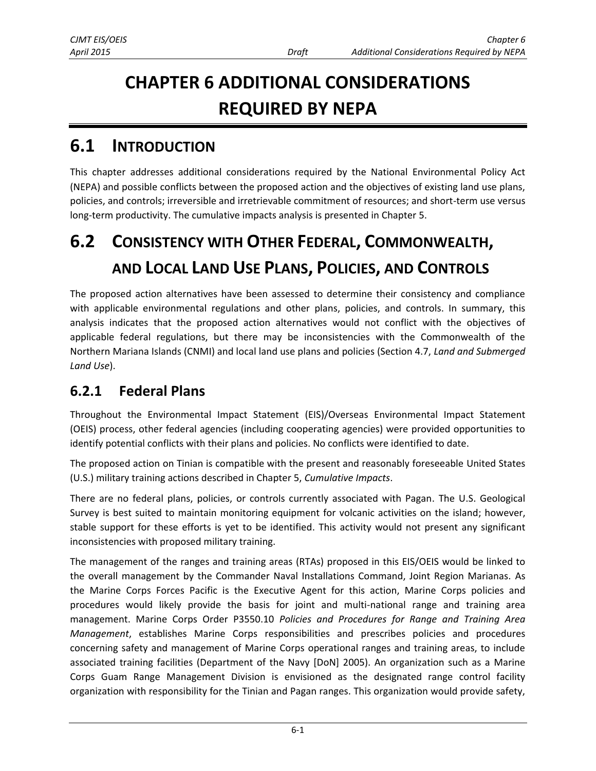# **CHAPTER 6 ADDITIONAL CONSIDERATIONS REQUIRED BY NEPA**

## <span id="page-2-0"></span>**6.1 INTRODUCTION**

This chapter addresses additional considerations required by the National Environmental Policy Act (NEPA) and possible conflicts between the proposed action and the objectives of existing land use plans, policies, and controls; irreversible and irretrievable commitment of resources; and short-term use versus long-term productivity. The cumulative impacts analysis is presented in Chapter 5.

# <span id="page-2-1"></span>**6.2 CONSISTENCY WITH OTHER FEDERAL, COMMONWEALTH, AND LOCAL LAND USE PLANS, POLICIES, AND CONTROLS**

The proposed action alternatives have been assessed to determine their consistency and compliance with applicable environmental regulations and other plans, policies, and controls. In summary, this analysis indicates that the proposed action alternatives would not conflict with the objectives of applicable federal regulations, but there may be inconsistencies with the Commonwealth of the Northern Mariana Islands (CNMI) and local land use plans and policies (Section 4.7, *Land and Submerged Land Use*).

### **6.2.1 Federal Plans**

Throughout the Environmental Impact Statement (EIS)/Overseas Environmental Impact Statement (OEIS) process, other federal agencies (including cooperating agencies) were provided opportunities to identify potential conflicts with their plans and policies. No conflicts were identified to date.

The proposed action on Tinian is compatible with the present and reasonably foreseeable United States (U.S.) military training actions described in Chapter 5, *Cumulative Impacts*.

There are no federal plans, policies, or controls currently associated with Pagan. The U.S. Geological Survey is best suited to maintain monitoring equipment for volcanic activities on the island; however, stable support for these efforts is yet to be identified. This activity would not present any significant inconsistencies with proposed military training.

The management of the ranges and training areas (RTAs) proposed in this EIS/OEIS would be linked to the overall management by the Commander Naval Installations Command, Joint Region Marianas. As the Marine Corps Forces Pacific is the Executive Agent for this action, Marine Corps policies and procedures would likely provide the basis for joint and multi-national range and training area management. Marine Corps Order P3550.10 *Policies and Procedures for Range and Training Area Management*, establishes Marine Corps responsibilities and prescribes policies and procedures concerning safety and management of Marine Corps operational ranges and training areas, to include associated training facilities (Department of the Navy [DoN] 2005). An organization such as a Marine Corps Guam Range Management Division is envisioned as the designated range control facility organization with responsibility for the Tinian and Pagan ranges. This organization would provide safety,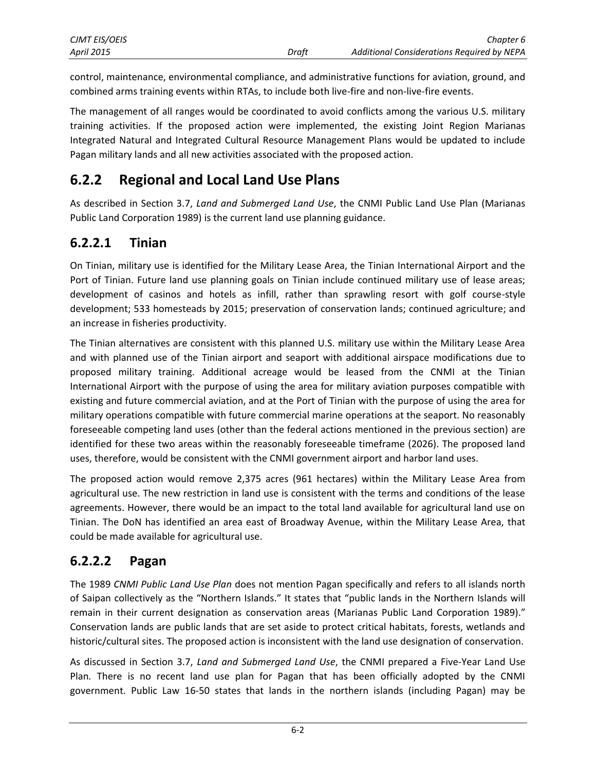| <b>CJMT EIS/OEIS</b> |       | Chapter 6                                         |
|----------------------|-------|---------------------------------------------------|
| April 2015           | Draft | <b>Additional Considerations Required by NEPA</b> |

control, maintenance, environmental compliance, and administrative functions for aviation, ground, and combined arms training events within RTAs, to include both live-fire and non-live-fire events.

The management of all ranges would be coordinated to avoid conflicts among the various U.S. military training activities. If the proposed action were implemented, the existing Joint Region Marianas Integrated Natural and Integrated Cultural Resource Management Plans would be updated to include Pagan military lands and all new activities associated with the proposed action.

### **6.2.2 Regional and Local Land Use Plans**

As described in Section 3.7, *Land and Submerged Land Use*, the CNMI Public Land Use Plan (Marianas Public Land Corporation 1989) is the current land use planning guidance.

#### **6.2.2.1 Tinian**

On Tinian, military use is identified for the Military Lease Area, the Tinian International Airport and the Port of Tinian. Future land use planning goals on Tinian include continued military use of lease areas; development of casinos and hotels as infill, rather than sprawling resort with golf course-style development; 533 homesteads by 2015; preservation of conservation lands; continued agriculture; and an increase in fisheries productivity.

The Tinian alternatives are consistent with this planned U.S. military use within the Military Lease Area and with planned use of the Tinian airport and seaport with additional airspace modifications due to proposed military training. Additional acreage would be leased from the CNMI at the Tinian International Airport with the purpose of using the area for military aviation purposes compatible with existing and future commercial aviation, and at the Port of Tinian with the purpose of using the area for military operations compatible with future commercial marine operations at the seaport. No reasonably foreseeable competing land uses (other than the federal actions mentioned in the previous section) are identified for these two areas within the reasonably foreseeable timeframe (2026). The proposed land uses, therefore, would be consistent with the CNMI government airport and harbor land uses.

The proposed action would remove 2,375 acres (961 hectares) within the Military Lease Area from agricultural use. The new restriction in land use is consistent with the terms and conditions of the lease agreements. However, there would be an impact to the total land available for agricultural land use on Tinian. The DoN has identified an area east of Broadway Avenue, within the Military Lease Area, that could be made available for agricultural use.

#### **6.2.2.2 Pagan**

The 1989 *CNMI Public Land Use Plan* does not mention Pagan specifically and refers to all islands north of Saipan collectively as the "Northern Islands." It states that "public lands in the Northern Islands will remain in their current designation as conservation areas (Marianas Public Land Corporation 1989)." Conservation lands are public lands that are set aside to protect critical habitats, forests, wetlands and historic/cultural sites. The proposed action is inconsistent with the land use designation of conservation.

As discussed in Section 3.7, *Land and Submerged Land Use*, the CNMI prepared a Five-Year Land Use Plan*.* There is no recent land use plan for Pagan that has been officially adopted by the CNMI government. Public Law 16-50 states that lands in the northern islands (including Pagan) may be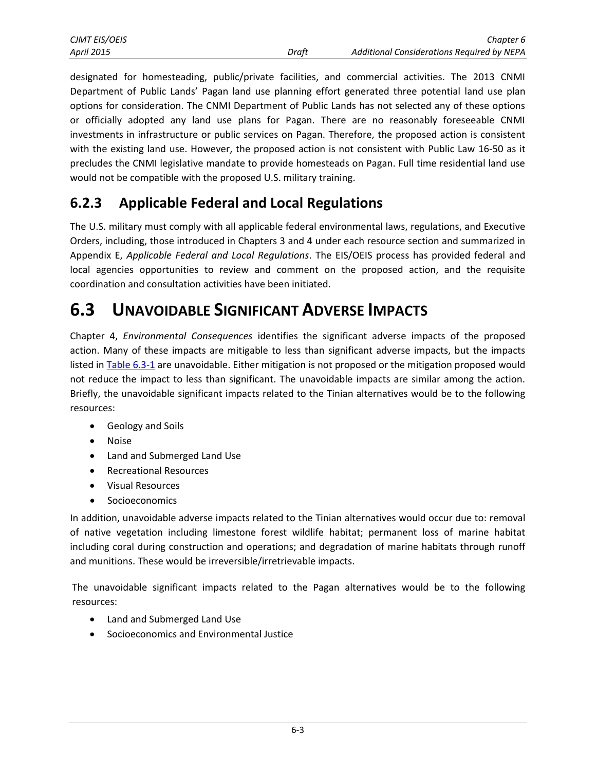designated for homesteading, public/private facilities, and commercial activities. The 2013 CNMI Department of Public Lands' Pagan land use planning effort generated three potential land use plan options for consideration. The CNMI Department of Public Lands has not selected any of these options or officially adopted any land use plans for Pagan. There are no reasonably foreseeable CNMI investments in infrastructure or public services on Pagan. Therefore, the proposed action is consistent with the existing land use. However, the proposed action is not consistent with Public Law 16-50 as it precludes the CNMI legislative mandate to provide homesteads on Pagan. Full time residential land use would not be compatible with the proposed U.S. military training.

### **6.2.3 Applicable Federal and Local Regulations**

The U.S. military must comply with all applicable federal environmental laws, regulations, and Executive Orders, including, those introduced in Chapters 3 and 4 under each resource section and summarized in Appendix E, *Applicable Federal and Local Regulations*. The EIS/OEIS process has provided federal and local agencies opportunities to review and comment on the proposed action, and the requisite coordination and consultation activities have been initiated.

## <span id="page-4-0"></span>**6.3 UNAVOIDABLE SIGNIFICANT ADVERSE IMPACTS**

Chapter 4, *Environmental Consequences* identifies the significant adverse impacts of the proposed action. Many of these impacts are mitigable to less than significant adverse impacts, but the impacts listed i[n Table 6.3-1 a](#page-5-1)re unavoidable. Either mitigation is not proposed or the mitigation proposed would not reduce the impact to less than significant. The unavoidable impacts are similar among the action. Briefly, the unavoidable significant impacts related to the Tinian alternatives would be to the following resources:

- Geology and Soils
- Noise
- Land and Submerged Land Use
- Recreational Resources
- Visual Resources
- Socioeconomics

In addition, unavoidable adverse impacts related to the Tinian alternatives would occur due to: removal of native vegetation including limestone forest wildlife habitat; permanent loss of marine habitat including coral during construction and operations; and degradation of marine habitats through runoff and munitions. These would be irreversible/irretrievable impacts.

The unavoidable significant impacts related to the Pagan alternatives would be to the following resources:

- Land and Submerged Land Use
- Socioeconomics and Environmental Justice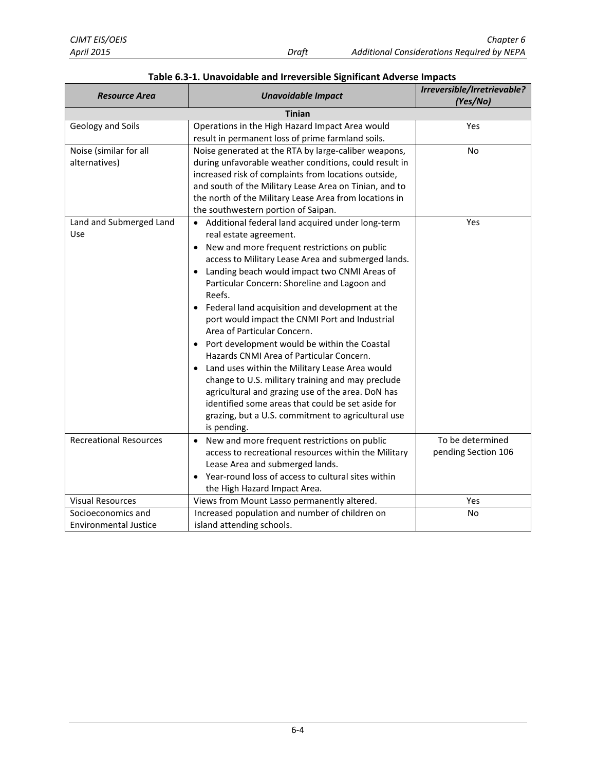<span id="page-5-0"></span>

| <b>Resource Area</b>                               | <b>Unavoidable Impact</b>                                                                                                                                                                                                                                                                                                                                                                                                                                                                                                                                                                                                                                                                                                                                                                                               | Irreversible/Irretrievable?<br>(Yes/No) |  |  |  |  |
|----------------------------------------------------|-------------------------------------------------------------------------------------------------------------------------------------------------------------------------------------------------------------------------------------------------------------------------------------------------------------------------------------------------------------------------------------------------------------------------------------------------------------------------------------------------------------------------------------------------------------------------------------------------------------------------------------------------------------------------------------------------------------------------------------------------------------------------------------------------------------------------|-----------------------------------------|--|--|--|--|
| <b>Tinian</b>                                      |                                                                                                                                                                                                                                                                                                                                                                                                                                                                                                                                                                                                                                                                                                                                                                                                                         |                                         |  |  |  |  |
| Geology and Soils                                  | Operations in the High Hazard Impact Area would<br>result in permanent loss of prime farmland soils.                                                                                                                                                                                                                                                                                                                                                                                                                                                                                                                                                                                                                                                                                                                    | Yes                                     |  |  |  |  |
| Noise (similar for all<br>alternatives)            | Noise generated at the RTA by large-caliber weapons,<br>during unfavorable weather conditions, could result in<br>increased risk of complaints from locations outside,<br>and south of the Military Lease Area on Tinian, and to<br>the north of the Military Lease Area from locations in<br>the southwestern portion of Saipan.                                                                                                                                                                                                                                                                                                                                                                                                                                                                                       | No                                      |  |  |  |  |
| Land and Submerged Land<br>Use                     | • Additional federal land acquired under long-term<br>real estate agreement.<br>New and more frequent restrictions on public<br>٠<br>access to Military Lease Area and submerged lands.<br>Landing beach would impact two CNMI Areas of<br>Particular Concern: Shoreline and Lagoon and<br>Reefs.<br>Federal land acquisition and development at the<br>port would impact the CNMI Port and Industrial<br>Area of Particular Concern.<br>Port development would be within the Coastal<br>Hazards CNMI Area of Particular Concern.<br>Land uses within the Military Lease Area would<br>change to U.S. military training and may preclude<br>agricultural and grazing use of the area. DoN has<br>identified some areas that could be set aside for<br>grazing, but a U.S. commitment to agricultural use<br>is pending. | Yes                                     |  |  |  |  |
| <b>Recreational Resources</b>                      | New and more frequent restrictions on public<br>$\bullet$<br>access to recreational resources within the Military<br>Lease Area and submerged lands.<br>Year-round loss of access to cultural sites within<br>the High Hazard Impact Area.                                                                                                                                                                                                                                                                                                                                                                                                                                                                                                                                                                              | To be determined<br>pending Section 106 |  |  |  |  |
| <b>Visual Resources</b>                            | Views from Mount Lasso permanently altered.                                                                                                                                                                                                                                                                                                                                                                                                                                                                                                                                                                                                                                                                                                                                                                             | Yes                                     |  |  |  |  |
| Socioeconomics and<br><b>Environmental Justice</b> | Increased population and number of children on<br>island attending schools.                                                                                                                                                                                                                                                                                                                                                                                                                                                                                                                                                                                                                                                                                                                                             | No                                      |  |  |  |  |

#### <span id="page-5-1"></span>**Table 6.3-1. Unavoidable and Irreversible Significant Adverse Impacts**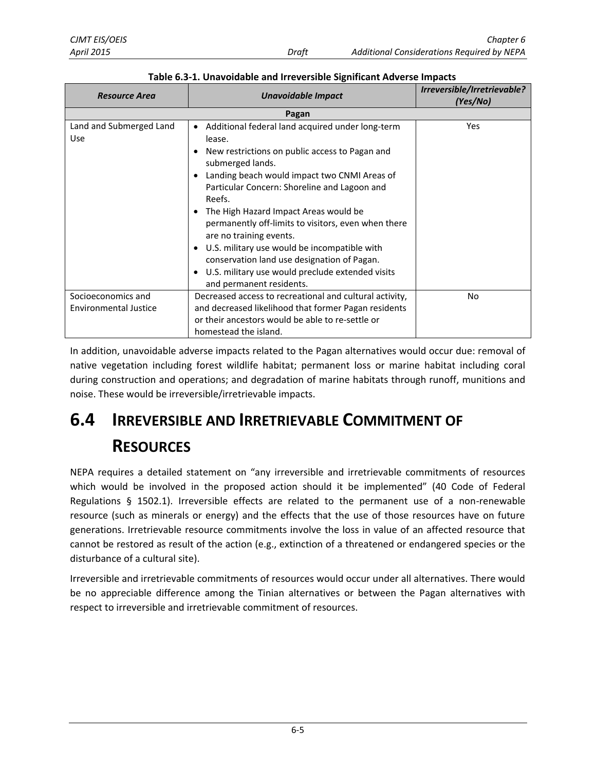| <b>Resource Area</b>                               | <b>Unavoidable Impact</b>                                                                                                                                                                                                                                                                                                                                                                                                                                                                                                                                         | Irreversible/Irretrievable?<br>(Yes/No) |  |  |  |  |  |
|----------------------------------------------------|-------------------------------------------------------------------------------------------------------------------------------------------------------------------------------------------------------------------------------------------------------------------------------------------------------------------------------------------------------------------------------------------------------------------------------------------------------------------------------------------------------------------------------------------------------------------|-----------------------------------------|--|--|--|--|--|
| Pagan                                              |                                                                                                                                                                                                                                                                                                                                                                                                                                                                                                                                                                   |                                         |  |  |  |  |  |
| Land and Submerged Land<br><b>Use</b>              | Additional federal land acquired under long-term<br>$\bullet$<br>lease.<br>New restrictions on public access to Pagan and<br>submerged lands.<br>Landing beach would impact two CNMI Areas of<br>Particular Concern: Shoreline and Lagoon and<br>Reefs.<br>The High Hazard Impact Areas would be<br>permanently off-limits to visitors, even when there<br>are no training events.<br>U.S. military use would be incompatible with<br>conservation land use designation of Pagan.<br>U.S. military use would preclude extended visits<br>and permanent residents. | Yes                                     |  |  |  |  |  |
| Socioeconomics and<br><b>Environmental Justice</b> | Decreased access to recreational and cultural activity,<br>and decreased likelihood that former Pagan residents<br>or their ancestors would be able to re-settle or<br>homestead the island.                                                                                                                                                                                                                                                                                                                                                                      | No                                      |  |  |  |  |  |

**Table 6.3-1. Unavoidable and Irreversible Significant Adverse Impacts**

<span id="page-6-1"></span>In addition, unavoidable adverse impacts related to the Pagan alternatives would occur due: removal of native vegetation including forest wildlife habitat; permanent loss or marine habitat including coral during construction and operations; and degradation of marine habitats through runoff, munitions and noise. These would be irreversible/irretrievable impacts.

## <span id="page-6-0"></span>**6.4 IRREVERSIBLE AND IRRETRIEVABLE COMMITMENT OF RESOURCES**

NEPA requires a detailed statement on "any irreversible and irretrievable commitments of resources which would be involved in the proposed action should it be implemented" (40 Code of Federal Regulations § 1502.1). Irreversible effects are related to the permanent use of a non-renewable resource (such as minerals or energy) and the effects that the use of those resources have on future generations. Irretrievable resource commitments involve the loss in value of an affected resource that cannot be restored as result of the action (e.g., extinction of a threatened or endangered species or the disturbance of a cultural site).

Irreversible and irretrievable commitments of resources would occur under all alternatives. There would be no appreciable difference among the Tinian alternatives or between the Pagan alternatives with respect to irreversible and irretrievable commitment of resources.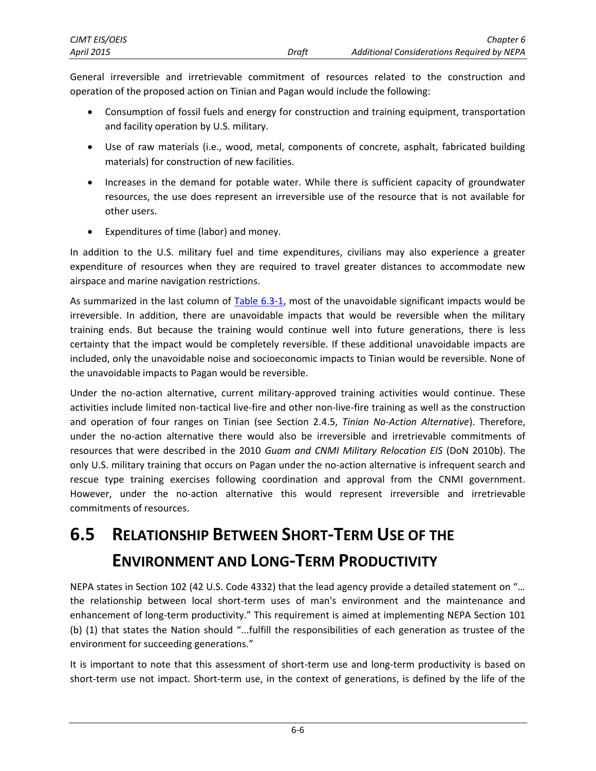General irreversible and irretrievable commitment of resources related to the construction and operation of the proposed action on Tinian and Pagan would include the following:

- Consumption of fossil fuels and energy for construction and training equipment, transportation and facility operation by U.S. military.
- Use of raw materials (i.e., wood, metal, components of concrete, asphalt, fabricated building materials) for construction of new facilities.
- Increases in the demand for potable water. While there is sufficient capacity of groundwater resources, the use does represent an irreversible use of the resource that is not available for other users.
- Expenditures of time (labor) and money.

In addition to the U.S. military fuel and time expenditures, civilians may also experience a greater expenditure of resources when they are required to travel greater distances to accommodate new airspace and marine navigation restrictions.

As summarized in the last column of [Table 6.3-1,](#page-5-1) most of the unavoidable significant impacts would be irreversible. In addition, there are unavoidable impacts that would be reversible when the military training ends. But because the training would continue well into future generations, there is less certainty that the impact would be completely reversible. If these additional unavoidable impacts are included, only the unavoidable noise and socioeconomic impacts to Tinian would be reversible. None of the unavoidable impacts to Pagan would be reversible.

Under the no-action alternative, current military-approved training activities would continue. These activities include limited non-tactical live-fire and other non-live-fire training as well as the construction and operation of four ranges on Tinian (see Section 2.4.5, *Tinian No-Action Alternative*). Therefore, under the no-action alternative there would also be irreversible and irretrievable commitments of resources that were described in the 2010 *Guam and CNMI Military Relocation EIS* (DoN 2010b). The only U.S. military training that occurs on Pagan under the no-action alternative is infrequent search and rescue type training exercises following coordination and approval from the CNMI government. However, under the no-action alternative this would represent irreversible and irretrievable commitments of resources.

## <span id="page-7-0"></span>**6.5 RELATIONSHIP BETWEEN SHORT-TERM USE OF THE ENVIRONMENT AND LONG-TERM PRODUCTIVITY**

NEPA states in Section 102 (42 U.S. Code 4332) that the lead agency provide a detailed statement on "… the relationship between local short-term uses of man's environment and the maintenance and enhancement of long-term productivity." This requirement is aimed at implementing NEPA Section 101 (b) (1) that states the Nation should "...fulfill the responsibilities of each generation as trustee of the environment for succeeding generations."

It is important to note that this assessment of short-term use and long-term productivity is based on short-term use not impact. Short-term use, in the context of generations, is defined by the life of the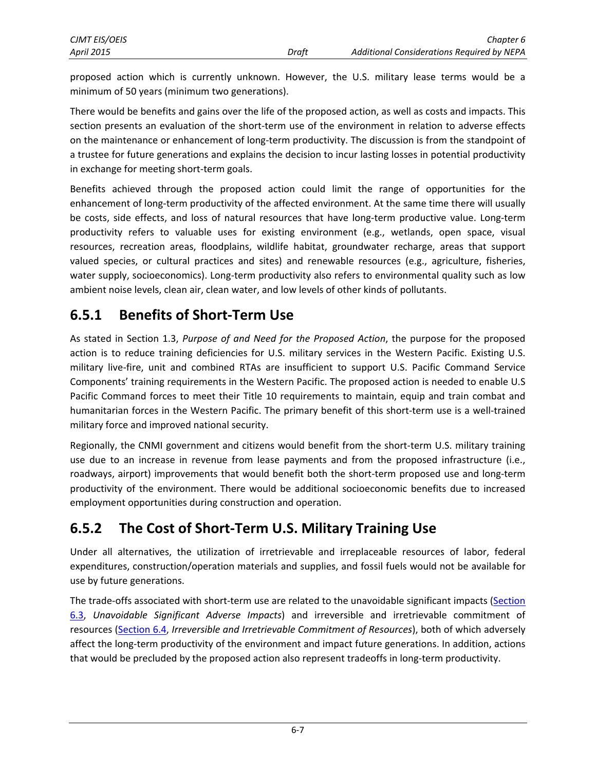proposed action which is currently unknown. However, the U.S. military lease terms would be a minimum of 50 years (minimum two generations).

There would be benefits and gains over the life of the proposed action, as well as costs and impacts. This section presents an evaluation of the short-term use of the environment in relation to adverse effects on the maintenance or enhancement of long‐term productivity. The discussion is from the standpoint of a trustee for future generations and explains the decision to incur lasting losses in potential productivity in exchange for meeting short‐term goals.

Benefits achieved through the proposed action could limit the range of opportunities for the enhancement of long-term productivity of the affected environment. At the same time there will usually be costs, side effects, and loss of natural resources that have long-term productive value. Long-term productivity refers to valuable uses for existing environment (e.g., wetlands, open space, visual resources, recreation areas, floodplains, wildlife habitat, groundwater recharge, areas that support valued species, or cultural practices and sites) and renewable resources (e.g., agriculture, fisheries, water supply, socioeconomics). Long-term productivity also refers to environmental quality such as low ambient noise levels, clean air, clean water, and low levels of other kinds of pollutants.

### **6.5.1 Benefits of Short‐Term Use**

As stated in Section 1.3, *Purpose of and Need for the Proposed Action*, the purpose for the proposed action is to reduce training deficiencies for U.S. military services in the Western Pacific. Existing U.S. military live‐fire, unit and combined RTAs are insufficient to support U.S. Pacific Command Service Components' training requirements in the Western Pacific. The proposed action is needed to enable U.S Pacific Command forces to meet their Title 10 requirements to maintain, equip and train combat and humanitarian forces in the Western Pacific. The primary benefit of this short-term use is a well-trained military force and improved national security.

Regionally, the CNMI government and citizens would benefit from the short-term U.S. military training use due to an increase in revenue from lease payments and from the proposed infrastructure (i.e., roadways, airport) improvements that would benefit both the short-term proposed use and long-term productivity of the environment. There would be additional socioeconomic benefits due to increased employment opportunities during construction and operation.

## **6.5.2 The Cost of Short‐Term U.S. Military Training Use**

Under all alternatives, the utilization of irretrievable and irreplaceable resources of labor, federal expenditures, construction/operation materials and supplies, and fossil fuels would not be available for use by future generations.

The trade-offs associated with short-term use are related to the unavoidable significant impacts [\(Section](#page-4-0) [6.3,](#page-4-0) *Unavoidable Significant Adverse Impacts*) and irreversible and irretrievable commitment of resources [\(Section](#page-6-1) 6.4, *Irreversible and Irretrievable Commitment of Resources*), both of which adversely affect the long‐term productivity of the environment and impact future generations. In addition, actions that would be precluded by the proposed action also represent tradeoffs in long‐term productivity.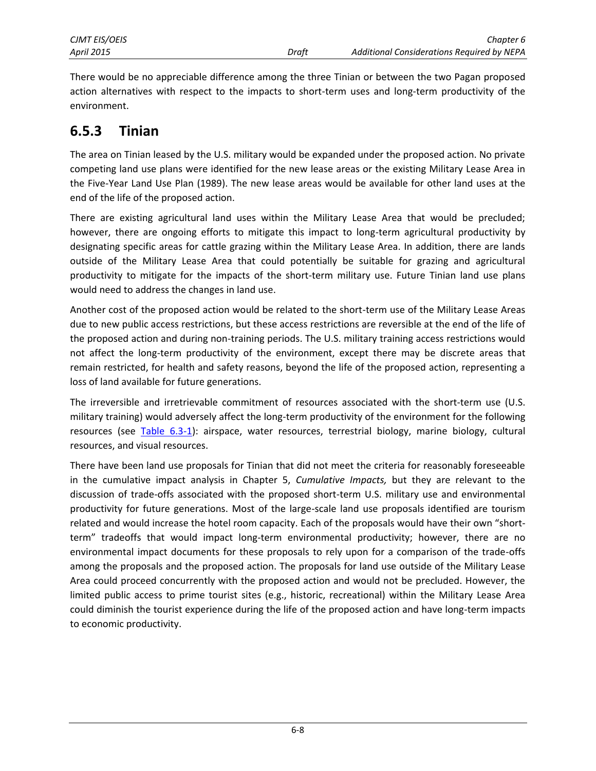There would be no appreciable difference among the three Tinian or between the two Pagan proposed action alternatives with respect to the impacts to short-term uses and long-term productivity of the environment.

### **6.5.3 Tinian**

The area on Tinian leased by the U.S. military would be expanded under the proposed action. No private competing land use plans were identified for the new lease areas or the existing Military Lease Area in the Five-Year Land Use Plan (1989). The new lease areas would be available for other land uses at the end of the life of the proposed action.

There are existing agricultural land uses within the Military Lease Area that would be precluded; however, there are ongoing efforts to mitigate this impact to long-term agricultural productivity by designating specific areas for cattle grazing within the Military Lease Area. In addition, there are lands outside of the Military Lease Area that could potentially be suitable for grazing and agricultural productivity to mitigate for the impacts of the short-term military use. Future Tinian land use plans would need to address the changes in land use.

Another cost of the proposed action would be related to the short-term use of the Military Lease Areas due to new public access restrictions, but these access restrictions are reversible at the end of the life of the proposed action and during non-training periods. The U.S. military training access restrictions would not affect the long-term productivity of the environment, except there may be discrete areas that remain restricted, for health and safety reasons, beyond the life of the proposed action, representing a loss of land available for future generations.

The irreversible and irretrievable commitment of resources associated with the short-term use (U.S. military training) would adversely affect the long-term productivity of the environment for the following resources (see [Table 6.3-1\)](#page-5-1): airspace, water resources, terrestrial biology, marine biology, cultural resources, and visual resources.

There have been land use proposals for Tinian that did not meet the criteria for reasonably foreseeable in the cumulative impact analysis in Chapter 5, *Cumulative Impacts,* but they are relevant to the discussion of trade-offs associated with the proposed short-term U.S. military use and environmental productivity for future generations. Most of the large-scale land use proposals identified are tourism related and would increase the hotel room capacity. Each of the proposals would have their own "shortterm" tradeoffs that would impact long-term environmental productivity; however, there are no environmental impact documents for these proposals to rely upon for a comparison of the trade-offs among the proposals and the proposed action. The proposals for land use outside of the Military Lease Area could proceed concurrently with the proposed action and would not be precluded. However, the limited public access to prime tourist sites (e.g., historic, recreational) within the Military Lease Area could diminish the tourist experience during the life of the proposed action and have long-term impacts to economic productivity.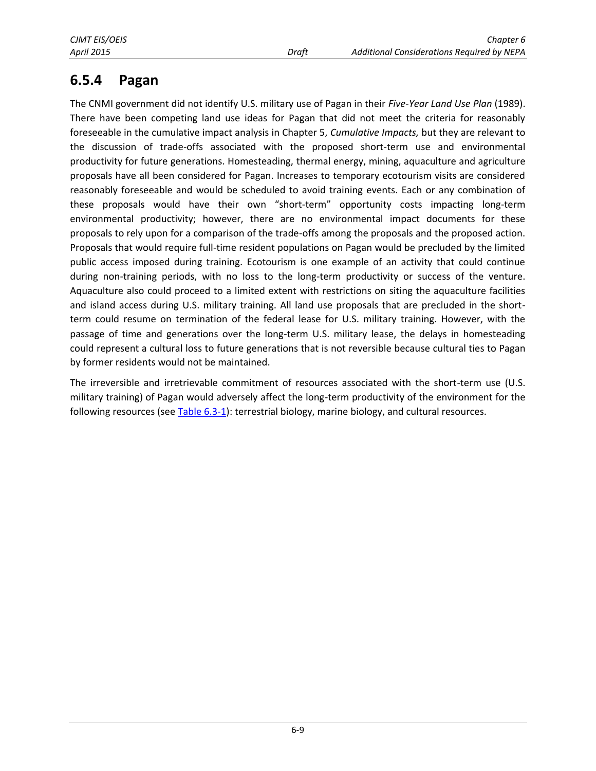### **6.5.4 Pagan**

The CNMI government did not identify U.S. military use of Pagan in their *Five-Year Land Use Plan* (1989). There have been competing land use ideas for Pagan that did not meet the criteria for reasonably foreseeable in the cumulative impact analysis in Chapter 5, *Cumulative Impacts,* but they are relevant to the discussion of trade-offs associated with the proposed short-term use and environmental productivity for future generations. Homesteading, thermal energy, mining, aquaculture and agriculture proposals have all been considered for Pagan. Increases to temporary ecotourism visits are considered reasonably foreseeable and would be scheduled to avoid training events. Each or any combination of these proposals would have their own "short-term" opportunity costs impacting long-term environmental productivity; however, there are no environmental impact documents for these proposals to rely upon for a comparison of the trade-offs among the proposals and the proposed action. Proposals that would require full-time resident populations on Pagan would be precluded by the limited public access imposed during training. Ecotourism is one example of an activity that could continue during non-training periods, with no loss to the long-term productivity or success of the venture. Aquaculture also could proceed to a limited extent with restrictions on siting the aquaculture facilities and island access during U.S. military training. All land use proposals that are precluded in the shortterm could resume on termination of the federal lease for U.S. military training. However, with the passage of time and generations over the long-term U.S. military lease, the delays in homesteading could represent a cultural loss to future generations that is not reversible because cultural ties to Pagan by former residents would not be maintained.

The irreversible and irretrievable commitment of resources associated with the short-term use (U.S. military training) of Pagan would adversely affect the long-term productivity of the environment for the following resources (see [Table 6.3-1\)](#page-5-1): terrestrial biology, marine biology, and cultural resources.